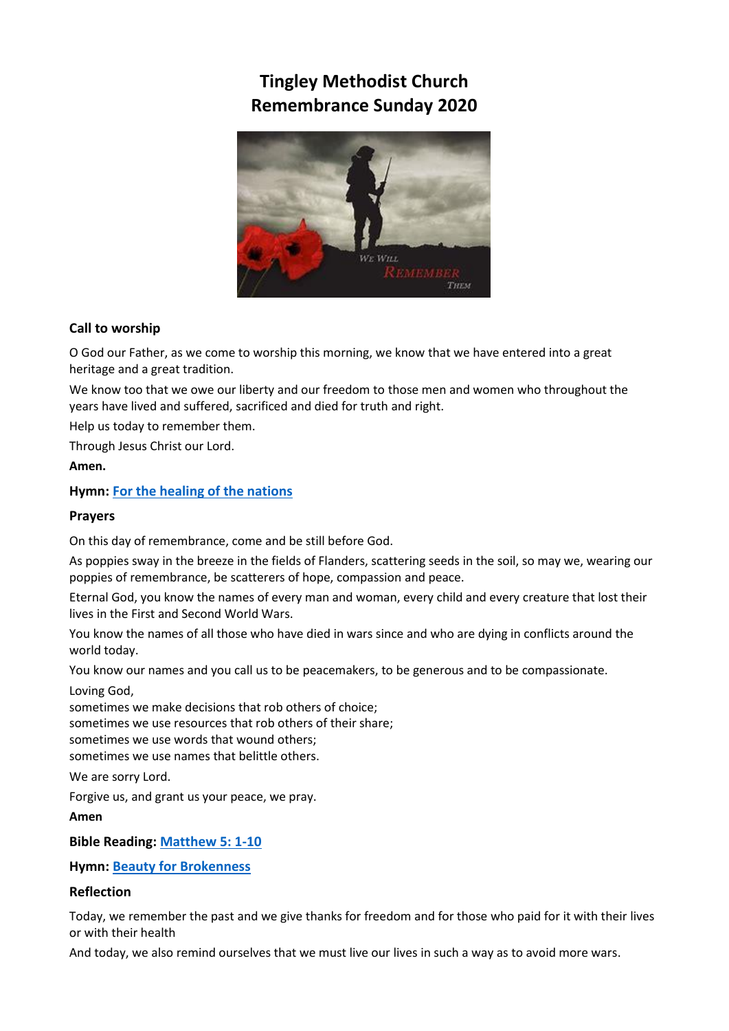# **Tingley Methodist Church Remembrance Sunday 2020**



# **Call to worship**

O God our Father, as we come to worship this morning, we know that we have entered into a great heritage and a great tradition.

We know too that we owe our liberty and our freedom to those men and women who throughout the years have lived and suffered, sacrificed and died for truth and right.

Help us today to remember them.

Through Jesus Christ our Lord.

**Amen.**

**Hymn: [For the healing of the nations](https://www.youtube.com/watch?v=i19LgSpPxmo)**

## **Prayers**

On this day of remembrance, come and be still before God.

As poppies sway in the breeze in the fields of Flanders, scattering seeds in the soil, so may we, wearing our poppies of remembrance, be scatterers of hope, compassion and peace.

Eternal God, you know the names of every man and woman, every child and every creature that lost their lives in the First and Second World Wars.

You know the names of all those who have died in wars since and who are dying in conflicts around the world today.

You know our names and you call us to be peacemakers, to be generous and to be compassionate.

Loving God,

sometimes we make decisions that rob others of choice; sometimes we use resources that rob others of their share; sometimes we use words that wound others;

sometimes we use names that belittle others.

We are sorry Lord.

Forgive us, and grant us your peace, we pray.

**Amen**

**Bible Reading: [Matthew 5: 1-10](https://www.biblegateway.com/passage/?search=matthew%205:1-10&version=NIV)**

**Hymn: [Beauty for Brokenness](https://www.youtube.com/watch?v=SxfBh9ay8gE)**

## **Reflection**

Today, we remember the past and we give thanks for freedom and for those who paid for it with their lives or with their health

And today, we also remind ourselves that we must live our lives in such a way as to avoid more wars.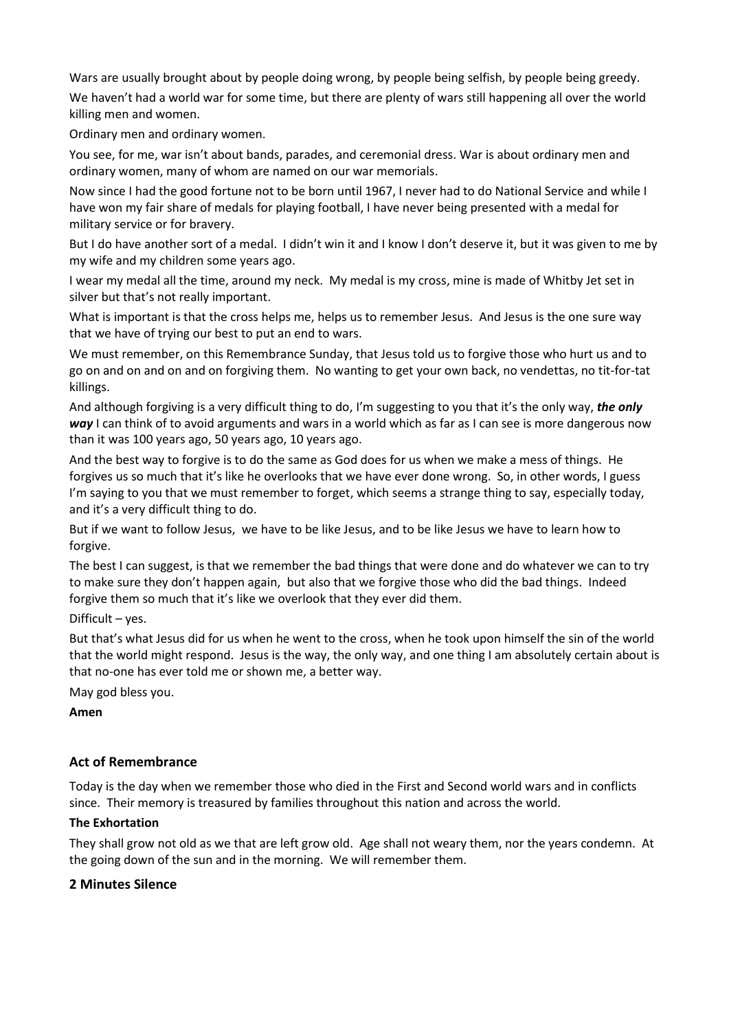Wars are usually brought about by people doing wrong, by people being selfish, by people being greedy. We haven't had a world war for some time, but there are plenty of wars still happening all over the world killing men and women.

Ordinary men and ordinary women.

You see, for me, war isn't about bands, parades, and ceremonial dress. War is about ordinary men and ordinary women, many of whom are named on our war memorials.

Now since I had the good fortune not to be born until 1967, I never had to do National Service and while I have won my fair share of medals for playing football, I have never being presented with a medal for military service or for bravery.

But I do have another sort of a medal. I didn't win it and I know I don't deserve it, but it was given to me by my wife and my children some years ago.

I wear my medal all the time, around my neck. My medal is my cross, mine is made of Whitby Jet set in silver but that's not really important.

What is important is that the cross helps me, helps us to remember Jesus. And Jesus is the one sure way that we have of trying our best to put an end to wars.

We must remember, on this Remembrance Sunday, that Jesus told us to forgive those who hurt us and to go on and on and on and on forgiving them. No wanting to get your own back, no vendettas, no tit-for-tat killings.

And although forgiving is a very difficult thing to do, I'm suggesting to you that it's the only way, *the only way* I can think of to avoid arguments and wars in a world which as far as I can see is more dangerous now than it was 100 years ago, 50 years ago, 10 years ago.

And the best way to forgive is to do the same as God does for us when we make a mess of things. He forgives us so much that it's like he overlooks that we have ever done wrong. So, in other words, I guess I'm saying to you that we must remember to forget, which seems a strange thing to say, especially today, and it's a very difficult thing to do.

But if we want to follow Jesus, we have to be like Jesus, and to be like Jesus we have to learn how to forgive.

The best I can suggest, is that we remember the bad things that were done and do whatever we can to try to make sure they don't happen again, but also that we forgive those who did the bad things. Indeed forgive them so much that it's like we overlook that they ever did them.

Difficult – yes.

But that's what Jesus did for us when he went to the cross, when he took upon himself the sin of the world that the world might respond. Jesus is the way, the only way, and one thing I am absolutely certain about is that no-one has ever told me or shown me, a better way.

May god bless you.

**Amen**

# **Act of Remembrance**

Today is the day when we remember those who died in the First and Second world wars and in conflicts since. Their memory is treasured by families throughout this nation and across the world.

#### **The Exhortation**

They shall grow not old as we that are left grow old. Age shall not weary them, nor the years condemn. At the going down of the sun and in the morning. We will remember them.

# **2 Minutes Silence**